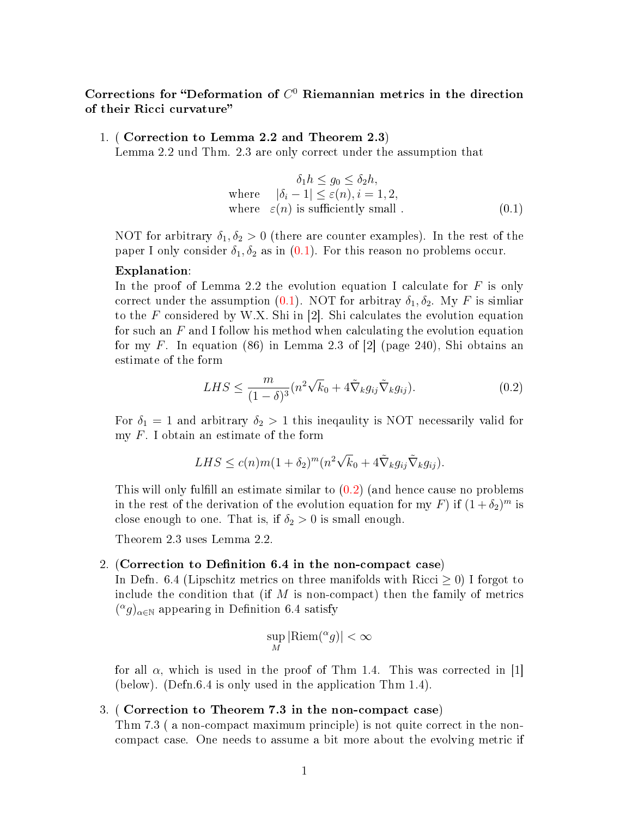# Corrections for "Deformation of  $C^0$  Riemannian metrics in the direction of their Ricci curvature

1. ( Correction to Lemma 2.2 and Theorem 2.3)

Lemma 2.2 und Thm. 2.3 are only correct under the assumption that

<span id="page-0-0"></span>
$$
\delta_1 h \le g_0 \le \delta_2 h,
$$
  
where  $|\delta_i - 1| \le \varepsilon(n), i = 1, 2,$   
where  $\varepsilon(n)$  is sufficiently small. (0.1)

NOT for arbitrary  $\delta_1, \delta_2 > 0$  (there are counter examples). In the rest of the paper I only consider  $\delta_1, \delta_2$  as in  $(0.1)$ . For this reason no problems occur.

## Explanation:

In the proof of Lemma 2.2 the evolution equation I calculate for  $F$  is only correct under the assumption [\(0.1\)](#page-0-0). NOT for arbitray  $\delta_1, \delta_2$ . My F is similar to the F considered by W.X. Shi in  $[2]$ . Shi calculates the evolution equation for such an  $F$  and I follow his method when calculating the evolution equation for my F. In equation (86) in Lemma 2.3 of  $[2]$  (page 240), Shi obtains an estimate of the form

<span id="page-0-1"></span>
$$
LHS \leq \frac{m}{(1-\delta)^3} (n^2 \sqrt{k_0} + 4\tilde{\nabla}_k g_{ij} \tilde{\nabla}_k g_{ij}).
$$
\n(0.2)

For  $\delta_1 = 1$  and arbitrary  $\delta_2 > 1$  this inequality is NOT necessarily valid for my F. I obtain an estimate of the form

$$
LHS \le c(n)m(1+\delta_2)^m(n^2\sqrt{k_0}+4\tilde{\nabla}_kg_{ij}\tilde{\nabla}_kg_{ij}).
$$

This will only fulfill an estimate similar to  $(0.2)$  (and hence cause no problems in the rest of the derivation of the evolution equation for my F) if  $(1 + \delta_2)^m$  is close enough to one. That is, if  $\delta_2 > 0$  is small enough.

Theorem 2.3 uses Lemma 2.2.

#### 2. (Correction to Definition 6.4 in the non-compact case)

In Defn. 6.4 (Lipschitz metrics on three manifolds with Ricci  $\geq 0$ ) I forgot to include the condition that (if  $M$  is non-compact) then the family of metrics  $({}^{\alpha}g)_{\alpha\in\mathbb{N}}$  appearing in Definition 6.4 satisfy

$$
\sup_{M} |\text{Riem}({}^{\alpha}g)| < \infty
$$

for all  $\alpha$ , which is used in the proof of Thm 1.4. This was corrected in [1] (below). (Defn.6.4 is only used in the application Thm 1.4).

## 3. ( Correction to Theorem 7.3 in the non-compact case)

Thm 7.3 ( a non-compact maximum principle) is not quite correct in the noncompact case. One needs to assume a bit more about the evolving metric if